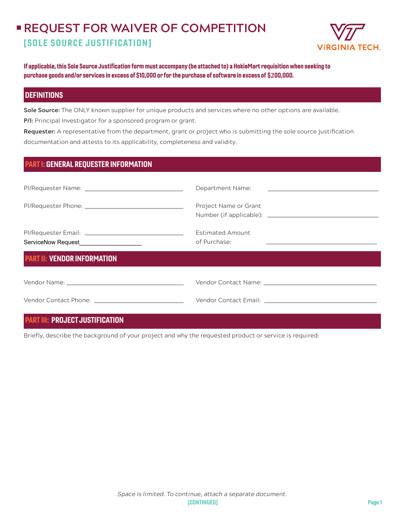# **REQUEST FOR WAIVER OF COMPETITION** [SOLE SOURCE JUSTIFICATION]



If applicable, this Sole Source Justification form must accompany (be attached to) a HokieMart requisition when seeking to purchase goods and/or services in excess of \$10,000 or for the purchase of software in excess of \$**2**00,000.

## **DEFINITIONS**

**Sole Source:** The ONLY known supplier for unique products and services where no other options are available.

**P/I:** Principal Investigator for a sponsored program or grant.

**Requester:** A representative from the department, grant or project who is submitting the sole source justification documentation and attests to its applicability, completeness and validity.

| <b>PART I: GENERAL REQUESTER INFORMATION</b> |
|----------------------------------------------|
|----------------------------------------------|

|                                                                                                                                                                                                                               | Department Name: <u>_________________________________</u> |
|-------------------------------------------------------------------------------------------------------------------------------------------------------------------------------------------------------------------------------|-----------------------------------------------------------|
|                                                                                                                                                                                                                               | Project Name or Grant                                     |
| ServiceNow Request____________________                                                                                                                                                                                        | <b>Estimated Amount</b><br>of Purchase:                   |
| <b>PART II: VENDOR INFORMATION</b>                                                                                                                                                                                            |                                                           |
| Vendor Name: Name and Service Contract of the Contract of the Contract of the Contract of the Contract of the Contract of the Contract of the Contract of the Contract of the Contract of the Contract of the Contract of the |                                                           |
| Vendor Contact Phone: The Contract Phone Section 2014                                                                                                                                                                         |                                                           |

# PART III: PROJECT JUSTIFICATION

Briefly, describe the background of your project and why the requested product or service is required: